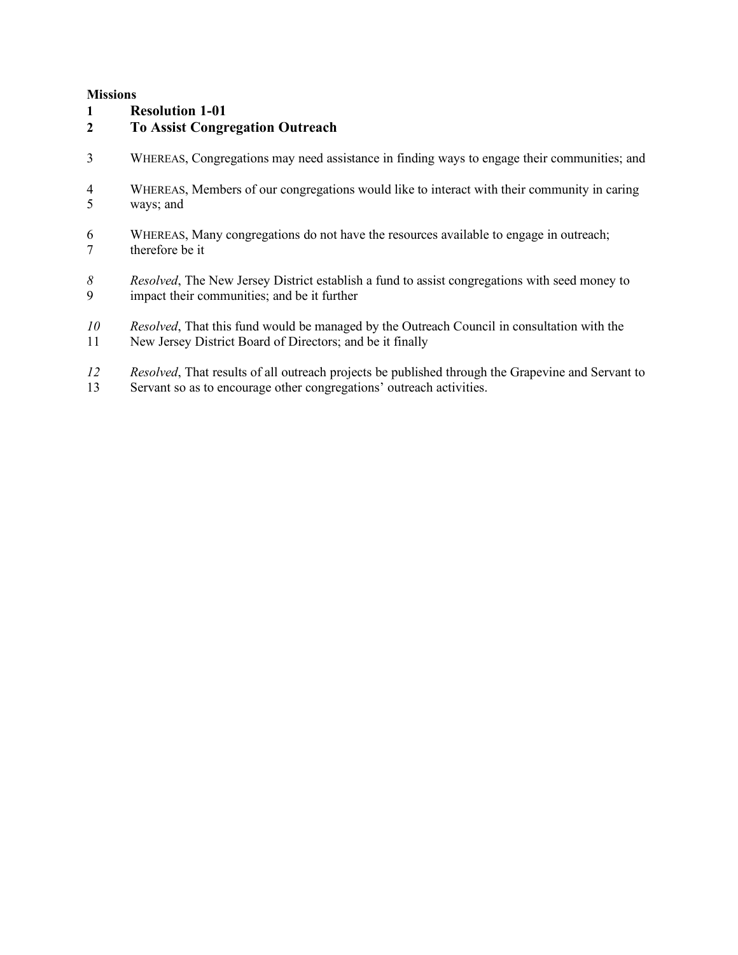#### **Missions**

### **Resolution 1-01**

### **To Assist Congregation Outreach**

- WHEREAS, Congregations may need assistance in finding ways to engage their communities; and
- WHEREAS, Members of our congregations would like to interact with their community in caring ways; and
- WHEREAS, Many congregations do not have the resources available to engage in outreach; therefore be it
- *Resolved*, The New Jersey District establish a fund to assist congregations with seed money to impact their communities: and be it further impact their communities; and be it further
- *Resolved*, That this fund would be managed by the Outreach Council in consultation with the
- New Jersey District Board of Directors; and be it finally
- *Resolved*, That results of all outreach projects be published through the Grapevine and Servant to Servant so as to encourage other congregations' outreach activities.
- Servant so as to encourage other congregations' outreach activities.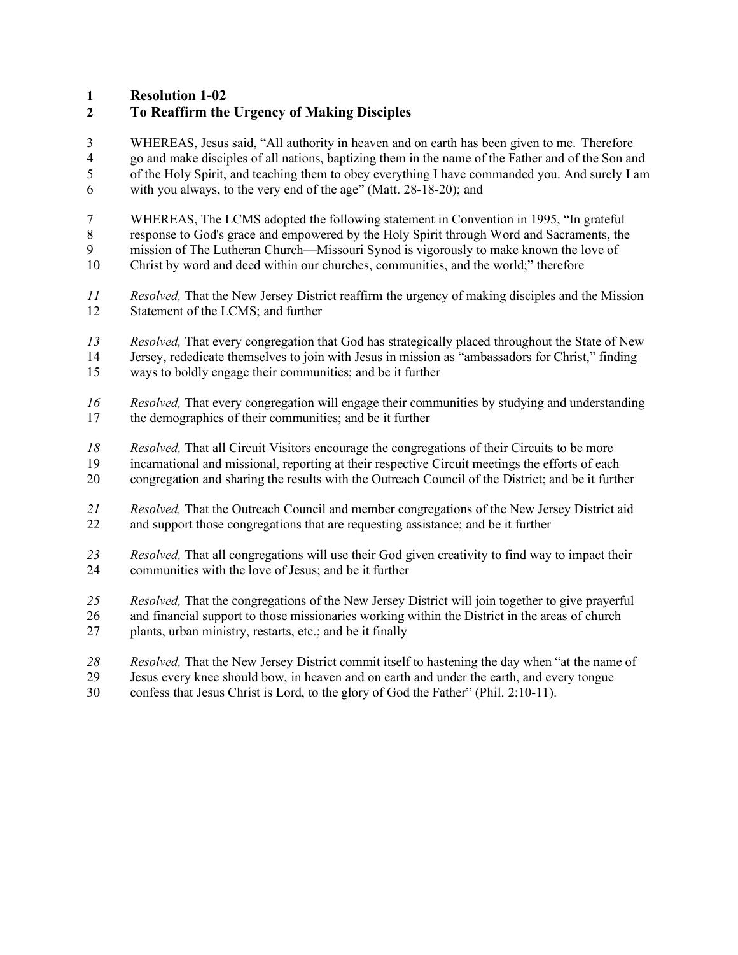**Resolution 1-02**

# **To Reaffirm the Urgency of Making Disciples**

 WHEREAS, Jesus said, "All authority in heaven and on earth has been given to me. Therefore go and make disciples of all nations, baptizing them in the name of the Father and of the Son and of the Holy Spirit, and teaching them to obey everything I have commanded you. And surely I am with you always, to the very end of the age" (Matt. 28-18-20); and

- WHEREAS, The LCMS adopted the following statement in Convention in 1995, "In grateful
- response to God's grace and empowered by the Holy Spirit through Word and Sacraments, the
- mission of The Lutheran Church—Missouri Synod is vigorously to make known the love of
- Christ by word and deed within our churches, communities, and the world;" therefore
- *Resolved,* That the New Jersey District reaffirm the urgency of making disciples and the Mission Statement of the LCMS; and further
- *Resolved,* That every congregation that God has strategically placed throughout the State of New 14 Jersey, rededicate themselves to join with Jesus in mission as "ambassadors for Christ," finding<br>15 wavs to boldly engage their communities; and be it further ways to boldly engage their communities; and be it further
- *Resolved,* That every congregation will engage their communities by studying and understanding the demographics of their communities; and be it further
- *Resolved,* That all Circuit Visitors encourage the congregations of their Circuits to be more
- incarnational and missional, reporting at their respective Circuit meetings the efforts of each
- congregation and sharing the results with the Outreach Council of the District; and be it further
- *Resolved,* That the Outreach Council and member congregations of the New Jersey District aid and support those congregations that are requesting assistance; and be it further
- *Resolved,* That all congregations will use their God given creativity to find way to impact their communities with the love of Jesus; and be it further
- *Resolved,* That the congregations of the New Jersey District will join together to give prayerful
- and financial support to those missionaries working within the District in the areas of church
- plants, urban ministry, restarts, etc.; and be it finally
- *Resolved,* That the New Jersey District commit itself to hastening the day when "at the name of
- Jesus every knee should bow, in heaven and on earth and under the earth, and every tongue
- confess that Jesus Christ is Lord, to the glory of God the Father" (Phil. 2:10-11).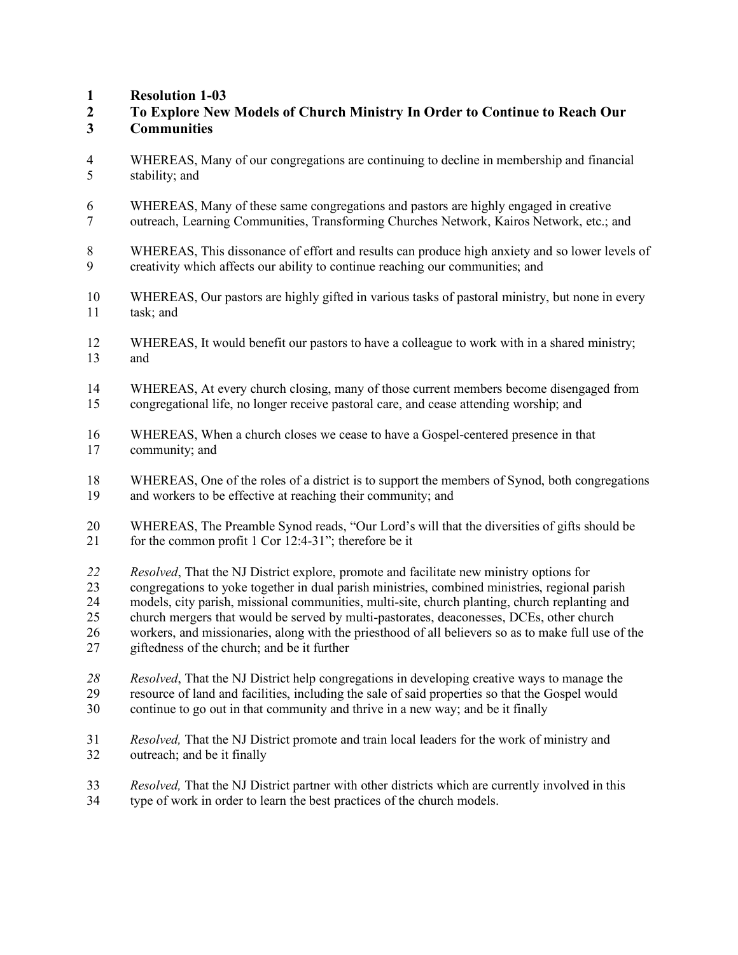**Resolution 1-03**

- **To Explore New Models of Church Ministry In Order to Continue to Reach Our Communities**
- WHEREAS, Many of our congregations are continuing to decline in membership and financial stability; and
- WHEREAS, Many of these same congregations and pastors are highly engaged in creative
- outreach, Learning Communities, Transforming Churches Network, Kairos Network, etc.; and

 WHEREAS, This dissonance of effort and results can produce high anxiety and so lower levels of creativity which affects our ability to continue reaching our communities; and

- WHEREAS, Our pastors are highly gifted in various tasks of pastoral ministry, but none in every task; and
- WHEREAS, It would benefit our pastors to have a colleague to work with in a shared ministry; and
- WHEREAS, At every church closing, many of those current members become disengaged from congregational life, no longer receive pastoral care, and cease attending worship; and
- WHEREAS, When a church closes we cease to have a Gospel-centered presence in that community; and
- WHEREAS, One of the roles of a district is to support the members of Synod, both congregations and workers to be effective at reaching their community; and
- WHEREAS, The Preamble Synod reads, "Our Lord's will that the diversities of gifts should be 21 for the common profit 1 Cor 12:4-31"; therefore be it
- *Resolved*, That the NJ District explore, promote and facilitate new ministry options for congregations to yoke together in dual parish ministries, combined ministries, regional parish models, city parish, missional communities, multi-site, church planting, church replanting and church mergers that would be served by multi-pastorates, deaconesses, DCEs, other church workers, and missionaries, along with the priesthood of all believers so as to make full use of the giftedness of the church; and be it further
- *Resolved*, That the NJ District help congregations in developing creative ways to manage the resource of land and facilities, including the sale of said properties so that the Gospel would continue to go out in that community and thrive in a new way; and be it finally
- *Resolved,* That the NJ District promote and train local leaders for the work of ministry and outreach; and be it finally
- *Resolved,* That the NJ District partner with other districts which are currently involved in this type of work in order to learn the best practices of the church models.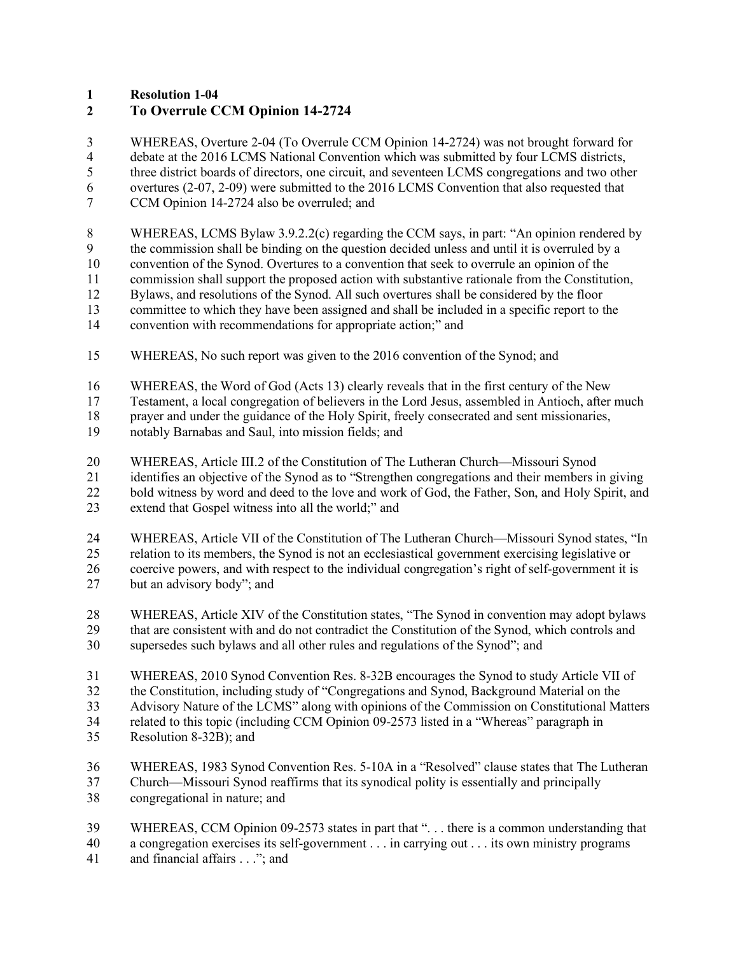**Resolution 1-04**

## **To Overrule CCM Opinion 14-2724**

 WHEREAS, Overture 2-04 (To Overrule CCM Opinion 14-2724) was not brought forward for debate at the 2016 LCMS National Convention which was submitted by four LCMS districts, three district boards of directors, one circuit, and seventeen LCMS congregations and two other overtures (2-07, 2-09) were submitted to the 2016 LCMS Convention that also requested that CCM Opinion 14-2724 also be overruled; and

- WHEREAS, LCMS Bylaw 3.9.2.2(c) regarding the CCM says, in part: "An opinion rendered by the commission shall be binding on the question decided unless and until it is overruled by a convention of the Synod. Overtures to a convention that seek to overrule an opinion of the commission shall support the proposed action with substantive rationale from the Constitution, Bylaws, and resolutions of the Synod. All such overtures shall be considered by the floor
- committee to which they have been assigned and shall be included in a specific report to the
- convention with recommendations for appropriate action;" and
- WHEREAS, No such report was given to the 2016 convention of the Synod; and
- WHEREAS, the Word of God (Acts 13) clearly reveals that in the first century of the New

Testament, a local congregation of believers in the Lord Jesus, assembled in Antioch, after much

18 prayer and under the guidance of the Holy Spirit, freely consecrated and sent missionaries,<br>19 notably Barnabas and Saul. into mission fields: and

- notably Barnabas and Saul, into mission fields; and
- WHEREAS, Article III.2 of the Constitution of The Lutheran Church—Missouri Synod
- identifies an objective of the Synod as to "Strengthen congregations and their members in giving
- 22 bold witness by word and deed to the love and work of God, the Father, Son, and Holy Spirit, and
- extend that Gospel witness into all the world;" and
- 24 WHEREAS, Article VII of the Constitution of The Lutheran Church—Missouri Synod states, "In relation to its members, the Synod is not an ecclesiastical government exercising legislative or relation to its members, the Synod is not an ecclesiastical government exercising legislative or coercive powers, and with respect to the individual congregation's right of self-government it is but an advisory body"; and
- 
- WHEREAS, Article XIV of the Constitution states, "The Synod in convention may adopt bylaws that are consistent with and do not contradict the Constitution of the Synod, which controls and supersedes such bylaws and all other rules and regulations of the Synod"; and
- WHEREAS, 2010 Synod Convention Res. 8-32B encourages the Synod to study Article VII of the Constitution, including study of "Congregations and Synod, Background Material on the Advisory Nature of the LCMS" along with opinions of the Commission on Constitutional Matters
- related to this topic (including CCM Opinion 09-2573 listed in a "Whereas" paragraph in
- Resolution 8-32B); and
- WHEREAS, 1983 Synod Convention Res. 5-10A in a "Resolved" clause states that The Lutheran
- Church—Missouri Synod reaffirms that its synodical polity is essentially and principally
- congregational in nature; and
- WHEREAS, CCM Opinion 09-2573 states in part that ". . . there is a common understanding that
- a congregation exercises its self-government . . . in carrying out . . . its own ministry programs
- 41 and financial affairs . . ."; and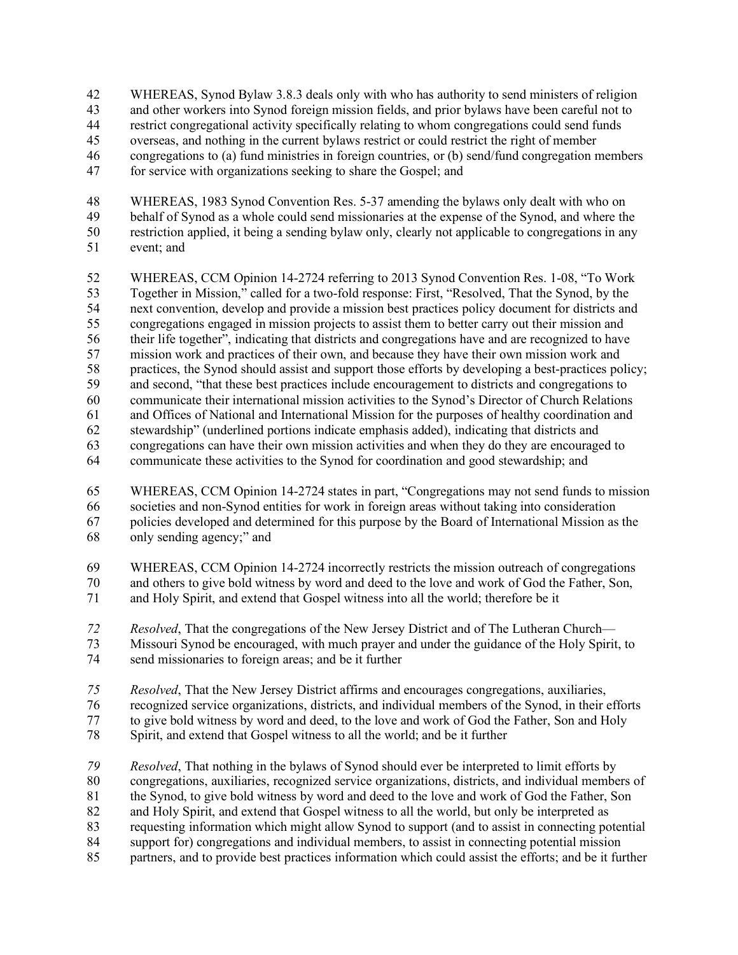- WHEREAS, Synod Bylaw 3.8.3 deals only with who has authority to send ministers of religion
- and other workers into Synod foreign mission fields, and prior bylaws have been careful not to
- restrict congregational activity specifically relating to whom congregations could send funds overseas, and nothing in the current bylaws restrict or could restrict the right of member
- congregations to (a) fund ministries in foreign countries, or (b) send/fund congregation members
- for service with organizations seeking to share the Gospel; and
- WHEREAS, 1983 Synod Convention Res. 5-37 amending the bylaws only dealt with who on
- behalf of Synod as a whole could send missionaries at the expense of the Synod, and where the restriction applied, it being a sending bylaw only, clearly not applicable to congregations in any event; and
- WHEREAS, CCM Opinion 14-2724 referring to 2013 Synod Convention Res. 1-08, "To Work Together in Mission," called for a two-fold response: First, "Resolved, That the Synod, by the next convention, develop and provide a mission best practices policy document for districts and congregations engaged in mission projects to assist them to better carry out their mission and their life together", indicating that districts and congregations have and are recognized to have mission work and practices of their own, and because they have their own mission work and practices, the Synod should assist and support those efforts by developing a best-practices policy; and second, "that these best practices include encouragement to districts and congregations to communicate their international mission activities to the Synod's Director of Church Relations and Offices of National and International Mission for the purposes of healthy coordination and stewardship" (underlined portions indicate emphasis added), indicating that districts and congregations can have their own mission activities and when they do they are encouraged to communicate these activities to the Synod for coordination and good stewardship; and
- WHEREAS, CCM Opinion 14-2724 states in part, "Congregations may not send funds to mission societies and non-Synod entities for work in foreign areas without taking into consideration policies developed and determined for this purpose by the Board of International Mission as the only sending agency;" and
- WHEREAS, CCM Opinion 14-2724 incorrectly restricts the mission outreach of congregations 70 and others to give bold witness by word and deed to the love and work of God the Father, Son,<br>71 and Holy Spirit, and extend that Gospel witness into all the world: therefore be it
- and Holy Spirit, and extend that Gospel witness into all the world; therefore be it
- *Resolved*, That the congregations of the New Jersey District and of The Lutheran Church—
- Missouri Synod be encouraged, with much prayer and under the guidance of the Holy Spirit, to send missionaries to foreign areas; and be it further
- *Resolved*, That the New Jersey District affirms and encourages congregations, auxiliaries,
- recognized service organizations, districts, and individual members of the Synod, in their efforts
- to give bold witness by word and deed, to the love and work of God the Father, Son and Holy
- Spirit, and extend that Gospel witness to all the world; and be it further
- *Resolved*, That nothing in the bylaws of Synod should ever be interpreted to limit efforts by congregations, auxiliaries, recognized service organizations, districts, and individual members of 81 the Synod, to give bold witness by word and deed to the love and work of God the Father, Son and Holy Spirit, and extend that Gospel witness to all the world, but only be interpreted as requesting information which might allow Synod to support (and to assist in connecting potential support for) congregations and individual members, to assist in connecting potential mission
- partners, and to provide best practices information which could assist the efforts; and be it further